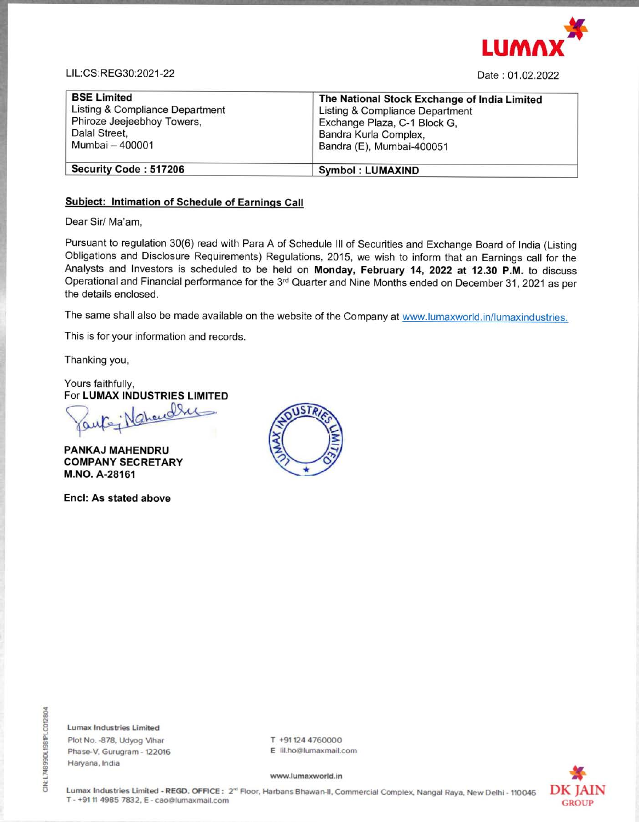

LIL:CS:REG30:2021-22 Date : 01.02.2022

| <b>BSE Limited</b>              | The National Stock Exchange of India Limited |
|---------------------------------|----------------------------------------------|
| Listing & Compliance Department | Listing & Compliance Department              |
| Phiroze Jeejeebhoy Towers,      | Exchange Plaza, C-1 Block G,                 |
| Dalal Street,                   | Bandra Kurla Complex,                        |
| Mumbai - 400001                 | Bandra (E), Mumbai-400051                    |
| Security Code: 517206           | <b>Symbol: LUMAXIND</b>                      |

# **Subject: Intimation of Schedule of Earnings Call**

Dear Sir/ Ma'am,

Lumax Industries Limited Plot No. -878. Udyog Vihar Phase-V. Gurugram - 122016 Haryana, India

T +91124 4760000 E lil.ho@lumaxmail.com

Pursuant to regulation 30(6) read with Para A of Schedule Ill of Securities and Exchange Board of India (Listing Obligations and Disclosure Requirements) Regulations, 2015, we wish to inform that an Earnings call for the Analysts and Investors is scheduled to be held on **Monday, February 14, 2022 at 12.30 P.M.** to discuss Operational and Financial performance for the 3<sup>rd</sup> Quarter and Nine Months ended on December 31, 2021 as per the details enclosed.

The same shall also be made available on the website of the Company at www.lumaxworld.in/lumaxindustries.

This is for your information and records.

Thanking you,

Yours faithfully,

For **LUMAX INDUSTRIES LIMITED** 

**PANKAJ MAHENDRU COMPANY SECRETARY M.NO. A-28161** 

**Encl: As stated above** 



#### www.lumaxworld.in